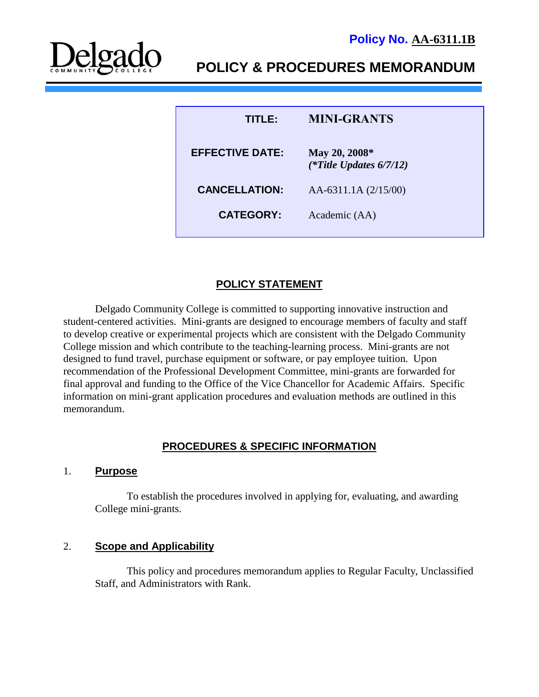

# **POLICY & PROCEDURES MEMORANDUM**

| TITLER                 | <b>MINI-GRANTS</b>                          |
|------------------------|---------------------------------------------|
| <b>EFFECTIVE DATE:</b> | May 20, 2008*<br>(*Title Updates $6/7/12$ ) |
| <b>CANCELLATION:</b>   | AA-6311.1A $(2/15/00)$                      |
| <b>CATEGORY:</b>       | Academic (AA)                               |

# **POLICY STATEMENT**

Delgado Community College is committed to supporting innovative instruction and student-centered activities. Mini-grants are designed to encourage members of faculty and staff to develop creative or experimental projects which are consistent with the Delgado Community College mission and which contribute to the teaching-learning process. Mini-grants are not designed to fund travel, purchase equipment or software, or pay employee tuition. Upon recommendation of the Professional Development Committee, mini-grants are forwarded for final approval and funding to the Office of the Vice Chancellor for Academic Affairs. Specific information on mini-grant application procedures and evaluation methods are outlined in this memorandum.

# **PROCEDURES & SPECIFIC INFORMATION**

#### 1. **Purpose**

To establish the procedures involved in applying for, evaluating, and awarding College mini-grants.

#### 2. **Scope and Applicability**

This policy and procedures memorandum applies to Regular Faculty, Unclassified Staff, and Administrators with Rank.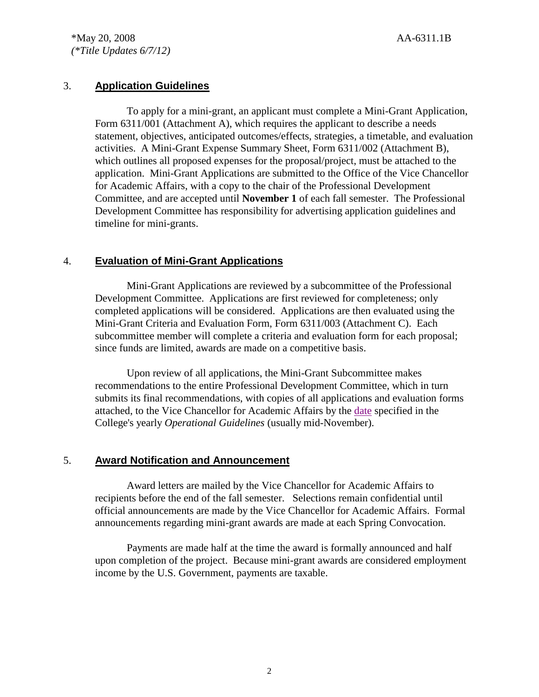# 3. **Application Guidelines**

To apply for a mini-grant, an applicant must complete a Mini-Grant Application, Form 6311/001 (Attachment A), which requires the applicant to describe a needs statement, objectives, anticipated outcomes/effects, strategies, a timetable, and evaluation activities. A Mini-Grant Expense Summary Sheet, Form 6311/002 (Attachment B), which outlines all proposed expenses for the proposal/project, must be attached to the application. Mini-Grant Applications are submitted to the Office of the Vice Chancellor for Academic Affairs, with a copy to the chair of the Professional Development Committee, and are accepted until **November 1** of each fall semester. The Professional Development Committee has responsibility for advertising application guidelines and timeline for mini-grants.

# 4. **Evaluation of Mini-Grant Applications**

Mini-Grant Applications are reviewed by a subcommittee of the Professional Development Committee. Applications are first reviewed for completeness; only completed applications will be considered. Applications are then evaluated using the Mini-Grant Criteria and Evaluation Form, Form 6311/003 (Attachment C). Each subcommittee member will complete a criteria and evaluation form for each proposal; since funds are limited, awards are made on a competitive basis.

Upon review of all applications, the Mini-Grant Subcommittee makes recommendations to the entire Professional Development Committee, which in turn submits its final recommendations, with copies of all applications and evaluation forms attached, to the Vice Chancellor for Academic Affairs by the [date](http://docushare3.dcc.edu/docushare/dsweb/Get/Document-1977/OpGuide+07-08+-+Mini-Grant+Calendar.doc) specified in the College's yearly *Operational Guidelines* (usually mid-November).

#### 5. **Award Notification and Announcement**

Award letters are mailed by the Vice Chancellor for Academic Affairs to recipients before the end of the fall semester. Selections remain confidential until official announcements are made by the Vice Chancellor for Academic Affairs. Formal announcements regarding mini-grant awards are made at each Spring Convocation.

Payments are made half at the time the award is formally announced and half upon completion of the project. Because mini-grant awards are considered employment income by the U.S. Government, payments are taxable.